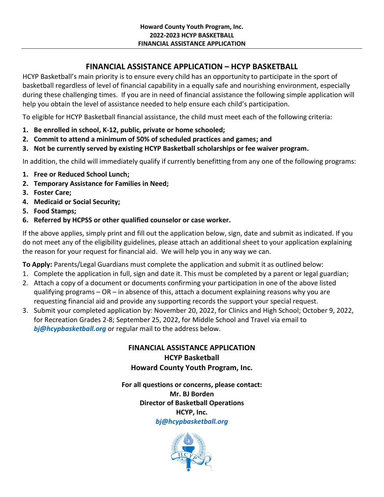# **FINANCIAL ASSISTANCE APPLICATION – HCYP BASKETBALL**

HCYP Basketball's main priority is to ensure every child has an opportunity to participate in the sport of basketball regardless of level of financial capability in a equally safe and nourishing environment, especially during these challenging times. If you are in need of financial assistance the following simple application will help you obtain the level of assistance needed to help ensure each child's participation.

To eligible for HCYP Basketball financial assistance, the child must meet each of the following criteria:

- **1. Be enrolled in school, K-12, public, private or home schooled;**
- **2. Commit to attend a minimum of 50% of scheduled practices and games; and**
- **3. Not be currently served by existing HCYP Basketball scholarships or fee waiver program.**

In addition, the child will immediately qualify if currently benefitting from any one of the following programs:

- **1. Free or Reduced School Lunch;**
- **2. Temporary Assistance for Families in Need;**
- **3. Foster Care;**
- **4. Medicaid or Social Security;**
- **5. Food Stamps;**
- **6. Referred by HCPSS or other qualified counselor or case worker.**

If the above applies, simply print and fill out the application below, sign, date and submit as indicated. If you do not meet any of the eligibility guidelines, please attach an additional sheet to your application explaining the reason for your request for financial aid. We will help you in any way we can.

**To Apply:** Parents/Legal Guardians must complete the application and submit it as outlined below:

- 1. Complete the application in full, sign and date it. This must be completed by a parent or legal guardian;
- 2. Attach a copy of a document or documents confirming your participation in one of the above listed qualifying programs  $-$  OR  $-$  in absence of this, attach a document explaining reasons why you are requesting financial aid and provide any supporting records the support your special request.
- 3. Submit your completed application by: November 20, 2022, for Clinics and High School; October 9, 2022, for Recreation Grades 2-8; September 25, 2022, for Middle School and Travel via email to *[bj@hcypbasketball.org](mailto:bj@hcypbasketball.org)* or regular mail to the address below.

**FINANCIAL ASSISTANCE APPLICATION HCYP Basketball Howard County Youth Program, Inc.**

**For all questions or concerns, please contact: Mr. BJ Borden Director of Basketball Operations HCYP, Inc.** *[bj@hcypbasketball.org](mailto:bj@hcypbasketball.org)*